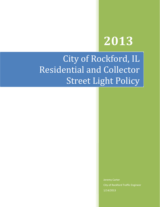# 2013

# City of Rockford, IL Residential and Collector Street Light Policy

Jeremy Carter City of Rockford Traffic Engineer 1/14/2013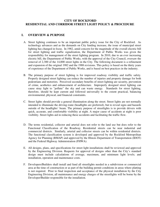#### **CITY OF ROCKFORD RESIDENTIAL AND CORRIDOR STREET LIGHT POLICY & PROCEDURE**

#### **I. OVERVIEW & PURPOSE**

- A. Street lighting continues to be an important public policy issue for the City of Rockford. As technology advances and as the demands on City funding increase, the issue of municipal street lighting has changed in focus. In 1982, amid concern for the magnitude of the overall electric bill for street lighting and traffic signalization, the Department of Public Works was given the responsibility for management of the street lighting program. In 2010, due to an ever increasing electric bill, the Department of Public Works, with the approval of the City Council, oversaw the removal of 2,300 of the 14,000 street lights in the City. The following document is a refinement and expansion of the original 1982 and the 1988 revisions. This policy is based on the thirty years of experience of the Department of Public Works, and is based on best practices in the industry.
- B. The primary purpose of street lighting is for improved roadway visibility and traffic safety. Properly designed street lighting can reduce the number of injuries and property damage for both pedestrians and motorists. Perceived secondary benefits of street lighting are security, prevention of crime, aesthetics and enhancement of architecture. Improperly designed street lighting can cause stray light to "pollute" the sky and can waste energy. Standards for street lighting, therefore, should be kept current and followed universally to the extent practical, balancing environmental, physical, and financial constraints.
- C. Street lights should provide a general illumination along the street. Street lights are not normally intended to illuminate the driving route (headlights are preferred), but to reveal signs and hazards outside of the headlights' beam. The primary purpose of streetlights is to provide drivers with quick, accurate, and comfortable visibility at night. A major cause of accidents at night is poor visibility. Street lights aid in reducing these accidents and facilitating the traffic flow.
- D. The terms residential, collector and arterial does not refer to the land use but does refer to the Functional Classification of the Roadway. Residential streets can be near industrial and commercial districts. Similarly, arterial and collector streets can be within residential districts. The functional classification system is developed and approved by the Rockford Metropolitan Agency for Planning (RMAP) and approved by the Illinois Department of Transportation (IDOT) and the Federal Highway Administration (FHWA).
- E. All designs, plans, and specifications for street light installations shall be reviewed and approved by the Engineering Division. Requests for approval of designs other than the City's standard design must include calculations of average, maximum, and minimum light levels; and installation, operation and maintenance costs.
- F. Developers/Builders shall install and fund all streetlights needed in a subdivision or commercial area at the time of construction or as part of the building permit conditions in areas where platting is not required. Prior to final inspection and acceptance of the physical installation by the City Engineering Division, all maintenance and energy charges of the streetlights will be borne by the Developer/Builder responsible for the installation.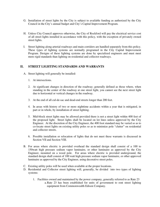- G. Installation of street lights by the City is subject to available funding as authorized by the City Council in the City's annual budget and City's Capital Improvement Program.
- H. Unless City Council approves otherwise, the City of Rockford will pay the electrical service cost of all street lights installed in accordance with this policy, with the exception of privately owned street lights.
- I. Street lighting along arterial roadways and main corridors are handled separately from this policy. These types of lighting systems are normally programed in the City Capital Improvement Program. Designs of these lighting systems are done by specialized engineers and must meet more rigid standards than lighting on residential and collector roadways.

#### **II. STREET LIGHTING STANDARDS AND WARRANTS**

- A. Street lighting will generally be installed:
	- 1. At intersections.
	- 2. At significant changes in direction of the roadway; generally defined as those where, when standing in the center of the roadway at one street light, you cannot see the next street light due to horizontal or vertical changes in the roadway.
	- 3. At the end of all cul-de-sac and dead-end streets longer than 200 feet.
	- 4. In areas with history of two or more nighttime accidents within a year that is mitigated, in part or in whole, by installation of street lighting.
	- 5. Mid-block street lights may be allowed provided there is not a street light within 400 feet of the proposed light. Street lights shall be located on lot lines unless approved by the City Engineer. At the discretion of the City Engineer, the 400 foot standard may be varied so as to co-locate street lights on existing utility poles so as to minimize pole "clutter" on residential and collector streets.
	- 6. Possible installation or relocation of lights that do not meet these warrants is discussed in Section VII and Section VIII.
- B. For areas where electric is provided overhead the standard design shall consist of a 100 to 150watt high pressure sodium vapor luminaire, or other luminaire as approved by the City Engineer, mounted on a wood pole. For areas where electric is provided underground, the standard design shall consist of 100 watt high pressure sodium vapor luminaire, or other approved luminaire as approved by the City Engineer, using decorative street poles.
- C. Existing utility poles will be used when available at the proper locations.
- D. Residential and Collector street lighting will, generally, be divided into two types of lighting systems:
	- 1. Facilities owned and maintained by the power company, generally referred to as Rate 23 a.Rate 23 has been established for units of government to rent street lighting equipment from Commonwealth Edison Company.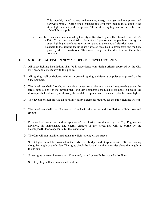- b.This monthly rental covers maintenance, energy charges and equipment and hardware rental. During some instances this cost may include installation if the street lights are not paid for upfront. This cost is very high and is for the lifetime of the light and pole.
- 2. Facilities owned and maintained by the City of Rockford, generally referred to as Rate 25 a.Rate 25 has been established for units of government to purchase energy for street lighting at a reduced rate, as compared to the standard electrical rates.
	- b.Generally the lighting facilities are flat rated on a dusk to dawn basis and the City pays by the kilowatt-hour. This may change at the direction of the utility company.

#### **III. STREET LIGHTING IN NEW / PROPOSED DEVELOPMENTS**

- A. All street lighting installations shall be in accordance with design criteria approved by the City Engineer and consistent with this policy.
- B. All lighting shall be designed with underground lighting and decorative poles as approved by the City Engineer.
- C. The developer shall furnish, at his sole expense, on a plat at a standard engineering scale, the street light design for the development. For developments scheduled to be done in phases, the developer shall submit a plat showing the total development with the master plan for street lights.
- D. The developer shall provide all necessary utility easements required for the street lighting system.
- E. The developer shall pay all costs associated with the design and installation of light pole and fixture.
- F. Prior to final inspection and acceptance of the physical installation by the City Engineering Division, all maintenance and energy charges of the streetlights will be borne by the Developer/Builder responsible for the installation.
- G. The City will not install or maintain street lights along private streets.
- H. Street lights should be provided at the ends of all bridges and at approximate 150 foot spacing along the length of the bridge. The lights should be located on alternate sides along the length of the bridge.
- I. Street lights between intersections, if required, should generally be located at lot lines.
- J. Street lighting will not be installed in alleys.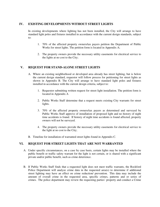#### **IV. EXISTING DEVELOPMENTS WITHOUT STREET LIGHTS**

In existing developments where lighting has not been installed, the City will arrange to have standard light poles and fixtures installed in accordance with the current design standards, subject to:

- 1. 70% of the affected property owners/tax payers petition the Department of Public Works for street lights. The petition form is located in Appendix A;
- 2. The property owners provide the necessary utility easements for electrical service to the lights at no cost to the City;

#### **V. REQUEST FOR STAND-ALONE STREET LIGHTS**

- A. Where an existing neighborhood or developed area already has street lighting, but is below the current design standard, requestor will follow process for petitioning for street lights as shown in Appendix B. The City will arrange to have standard light poles and fixtures installed in accordance with the current design criteria, subject to:
	- 1. Requestor submitting written request for street light installation. The petition form is located in Appendix A
	- 2. Public Works Staff determine that a request meets existing City warrants for street lights.
	- 3. 70% of the affected property owners/tax payers as determined and surveyed by Public Works Staff approve of installation of proposed light and no history of night time accidents is found. If history of night time accidents is found affected, property owners will not be surveyed.
	- 4. The property owners provide the necessary utility easements for electrical service to the light at no cost to the City;
- B. Timeline for installation of warranted street lights found in Appendix C.

#### **VI. REQUEST FOR STREET LIGHTS THAT ARE NOT WARRANTED**

- A. Under specific circumstances, on a case by case basis, certain lights may be installed where the public benefit or traffic safety warrant for the light is not certain, or is shared with a significant private and/or public benefit, such as crime deterrence.
- B. If Public Works Staff finds that a requested light does not meet traffic warrants, the Rockford Police Department will analyze crime data in the requested area(s) to determine if additional street lighting may have an effect on crime reduction/ prevention. This data may include the amount of overall crime in the requested area, specific crimes, patterns and or series of crimes. The police department may review the requesting parties' property and conduct a Crime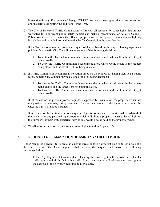Prevention through Environmental Design **(CPTED)** survey or investigate other crime prevention options before suggesting the additional street light.

- C. The City of Rockford Traffic Commission will review all requests for street lights that are not warranted for significant public safety benefit and make a recommendation to City Council. Public Work staff will survey the affected property owners/tax payers for opinion on lighting installation and provide information to the Traffic Commission for consideration.
- D. If the Traffic Commission recommends light installation based on the request having significant public safety benefit, City Council may make one of the following decisions:
	- 1. To sustain the Traffic Commission's recommendation, which will result in the street light being installed.
	- 2. To deny the Traffic Commission's recommendation, which would result in the request being closed and the street light not being installed.
- E. If Traffic Commission recommends no action based on the request not having significant public safety benefit, City Council may make one of the following decisions:
	- 1. To sustain the Traffic Commission's recommendation, which would result in the request being closed and the street light not being installed.
	- 2. To deny the Traffic Commission's recommendation, which would result in the street light being installed.
- F. If, at the end of the petition process request is approved for installation, the property owners do not provide the necessary utility easements for electrical service to the lights at no cost to the City; the light will not be installed.
- G. If at the end of the petition process a requested light is not installed, requestor will be advised of the power company personal light program which will allow a property owner to install light on their property at their cost. Electrical service cost would also be paid by the property owner.
- H. Timeline for installation of unwarranted street lights found in Appendix D.

#### **VII. REQUEST FOR RELOCATION OF EXISTING STREET LIGHTS**

Under receipt of a request to relocate an existing street light to a different pole or to set a pole at a different location, the City Engineer shall review the request and make the following recommendations:

1. If the City Engineer determines that relocating the street light will improve the vehicular traffic safety and aid in facilitating traffic flow, then the city will relocate the street light at the expense of the city provided funding is available.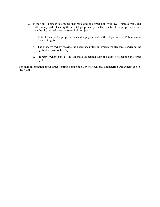- 2. If the City Engineer determines that relocating the street light will NOT improve vehicular traffic safety and relocating the street light primarily for the benefit of the property owners, then the city will relocate the street light subject to:
	- a. 70% of the affected property owners/tax payers petition the Department of Public Works for street lights.
	- b. The property owners provide the necessary utility easements for electrical service to the lights at no cost to the City.
	- c. Property owners pay all the expenses associated with the cost of relocating the street light;

For more information about street lighting, contact the City of Rockford, Engineering Department at 815- 987-5570.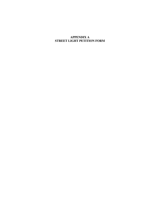## **APPENDIX A STREET LIGHT PETITION FORM**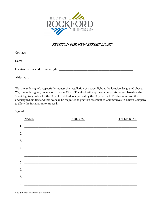

# PETITION FOR NEW STREET LIGHT

| Alderman: |  |
|-----------|--|

We, the undersigned, respectfully request the installation of a street light at the location designated above. We, the undersigned, understand that the City of Rockford will approve or deny this request based on the Street Lighting Policy for the City of Rockford as approved by the City Council. Furthermore, we, the undersigned, understand that we may be requested to grant an easement to Commonwealth Edison Company to allow the installation to proceed.

# Signed:

|    | <b>NAME</b>                                                 | <b>ADDRESS</b> | <b>TELEPHONE</b> |
|----|-------------------------------------------------------------|----------------|------------------|
| 1. |                                                             |                |                  |
| 2. |                                                             |                |                  |
| 3. | <u> 1980 - Januar Amerikaanse konstantinoplering (</u>      |                |                  |
| 4. |                                                             |                |                  |
| 5. | <u> 1980 - Johann Barn, mars and de Brasilian (b. 1980)</u> |                |                  |
| 6. |                                                             |                |                  |
| 7. |                                                             |                |                  |
| 8. |                                                             |                |                  |
| 9. |                                                             |                |                  |
|    |                                                             |                |                  |

*City of Rockford Street Light Petition*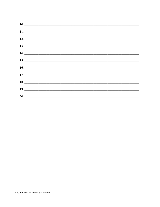| $11.$ $\overline{\phantom{a}}$ |  |  |
|--------------------------------|--|--|
| $12. \_$                       |  |  |
|                                |  |  |
|                                |  |  |
|                                |  |  |
|                                |  |  |
|                                |  |  |
| $18. \_$                       |  |  |
|                                |  |  |
| 20.                            |  |  |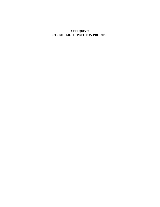#### **APPENDIX B STREET LIGHT PETITION PROCESS**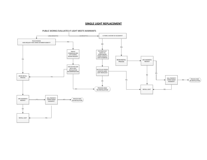#### **SINGLE LIGHT REPLACEMENT**

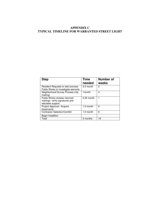# **APPENDIX C TYPICAL TIMELINE FOR WARRANTED STREET LIGHT**

| <b>Step</b>                                                                           | <b>Time</b><br>needed | <b>Number of</b><br>weeks |
|---------------------------------------------------------------------------------------|-----------------------|---------------------------|
| Resident Requests to start process<br>Public Works to investigate warrants            | $0.5$ month           | 2                         |
| Neighborhood Survey Process (city<br>mailing)                                         | 1 <sub>month</sub>    | 4                         |
| Public Works reviews returned<br>mailings- verify signatures and<br>tabulates support | $0.25$ month          |                           |
| Project Approval / Acquire<br>Easements                                               | 1.5 month             | 6                         |
| Contractor Selection/ComEd                                                            | 1.5 month             | 6                         |
| Begin Installtion                                                                     |                       |                           |
| Total                                                                                 | 5 months              | 19                        |